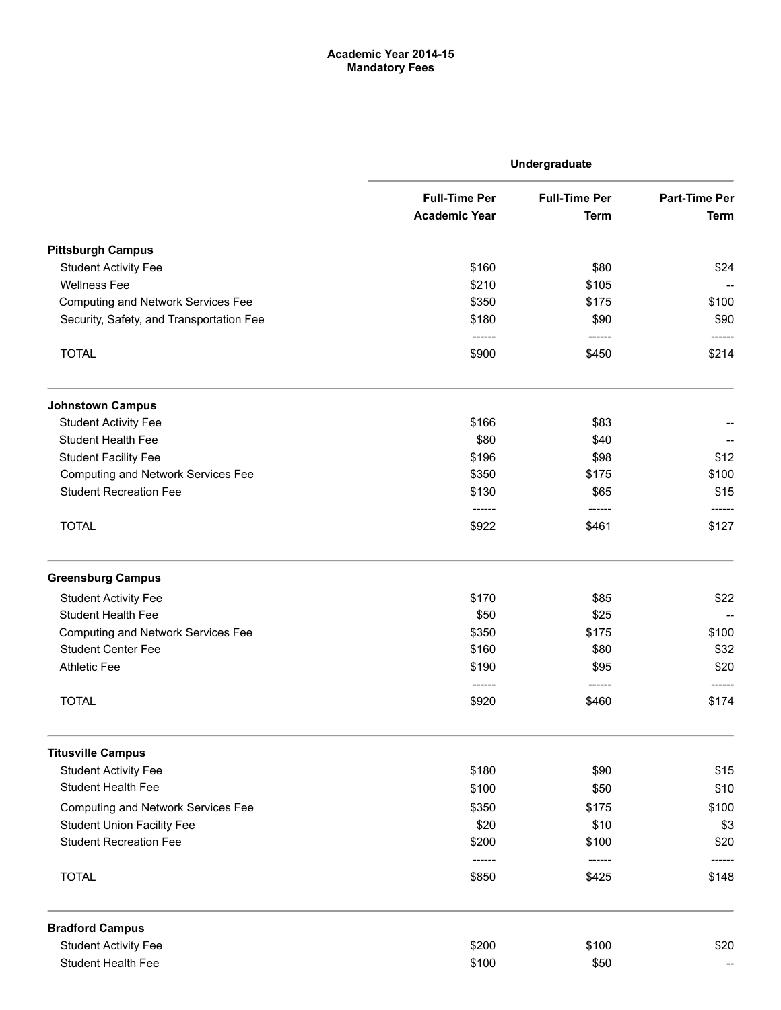# Academic Year 2014-15 Mandatory Fees

|                                           | Undergraduate                                |                                     |                                     |
|-------------------------------------------|----------------------------------------------|-------------------------------------|-------------------------------------|
|                                           | <b>Full-Time Per</b><br><b>Academic Year</b> | <b>Full-Time Per</b><br><b>Term</b> | <b>Part-Time Per</b><br><b>Term</b> |
| <b>Pittsburgh Campus</b>                  |                                              |                                     |                                     |
| <b>Student Activity Fee</b>               | \$160                                        | \$80                                | \$24                                |
| <b>Wellness Fee</b>                       | \$210                                        | \$105                               |                                     |
| <b>Computing and Network Services Fee</b> | \$350                                        | \$175                               | \$100                               |
| Security, Safety, and Transportation Fee  | \$180                                        | \$90                                | \$90                                |
| <b>TOTAL</b>                              | \$900                                        | \$450                               | \$214                               |
| <b>Johnstown Campus</b>                   |                                              |                                     |                                     |
| <b>Student Activity Fee</b>               | \$166                                        | \$83                                |                                     |
| <b>Student Health Fee</b>                 | \$80                                         | \$40                                |                                     |
| <b>Student Facility Fee</b>               | \$196                                        | \$98                                | \$12                                |
| <b>Computing and Network Services Fee</b> | \$350                                        | \$175                               | \$100                               |
| <b>Student Recreation Fee</b>             | \$130                                        | \$65                                | \$15                                |
| <b>TOTAL</b>                              | ------<br>\$922                              | ------<br>\$461                     | ------<br>\$127                     |
| <b>Greensburg Campus</b>                  |                                              |                                     |                                     |
| <b>Student Activity Fee</b>               | \$170                                        | \$85                                | \$22                                |
| <b>Student Health Fee</b>                 | \$50                                         | \$25                                |                                     |
| <b>Computing and Network Services Fee</b> | \$350                                        | \$175                               | \$100                               |
| <b>Student Center Fee</b>                 | \$160                                        | \$80                                | \$32                                |
| <b>Athletic Fee</b>                       | \$190                                        | \$95                                | \$20                                |
|                                           | ------                                       | -------                             |                                     |
| <b>TOTAL</b>                              | \$920                                        | \$460                               | \$174                               |
| <b>Titusville Campus</b>                  |                                              |                                     |                                     |
| <b>Student Activity Fee</b>               | \$180                                        | \$90                                | \$15                                |
| <b>Student Health Fee</b>                 | \$100                                        | \$50                                | \$10                                |
| <b>Computing and Network Services Fee</b> | \$350                                        | \$175                               | \$100                               |
| <b>Student Union Facility Fee</b>         | \$20                                         | \$10                                | \$3                                 |
| <b>Student Recreation Fee</b>             | \$200                                        | \$100                               | \$20                                |
| <b>TOTAL</b>                              | \$850                                        | \$425                               | \$148                               |
| <b>Bradford Campus</b>                    |                                              |                                     |                                     |
| <b>Student Activity Fee</b>               | \$200                                        | \$100                               | \$20                                |
| Student Health Fee                        | \$100                                        | \$50                                |                                     |